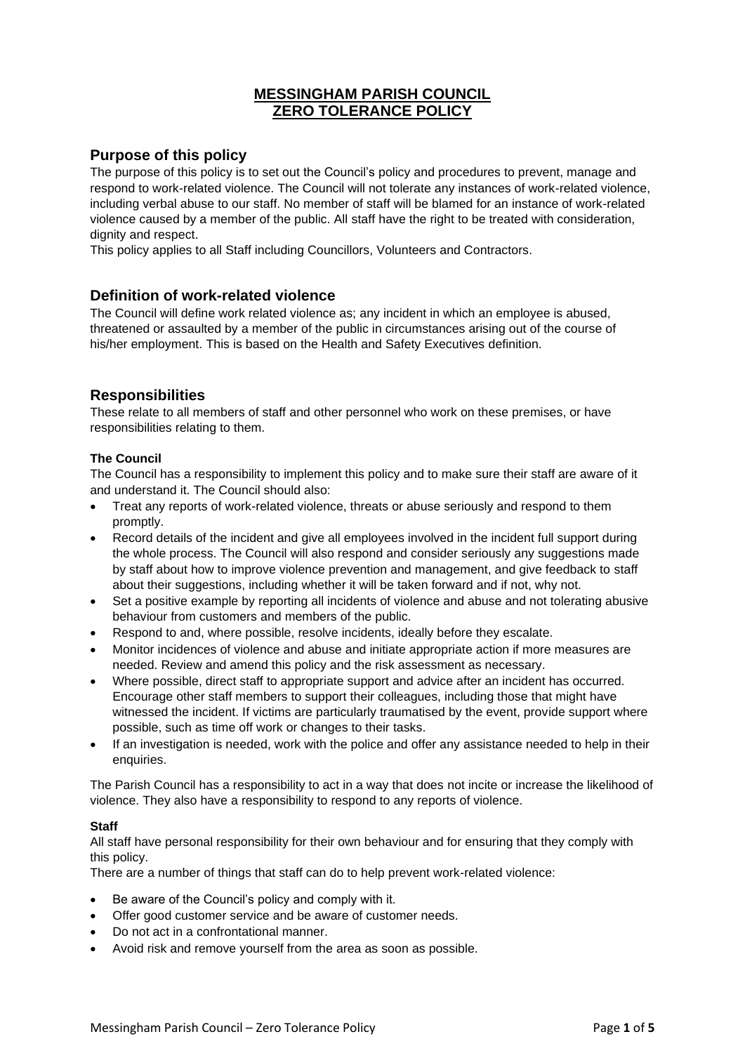## **MESSINGHAM PARISH COUNCIL ZERO TOLERANCE POLICY**

## **Purpose of this policy**

The purpose of this policy is to set out the Council's policy and procedures to prevent, manage and respond to work-related violence. The Council will not tolerate any instances of work-related violence, including verbal abuse to our staff. No member of staff will be blamed for an instance of work-related violence caused by a member of the public. All staff have the right to be treated with consideration, dignity and respect.

This policy applies to all Staff including Councillors, Volunteers and Contractors.

### **Definition of work-related violence**

The Council will define work related violence as; any incident in which an employee is abused, threatened or assaulted by a member of the public in circumstances arising out of the course of his/her employment. This is based on the Health and Safety Executives definition.

## **Responsibilities**

These relate to all members of staff and other personnel who work on these premises, or have responsibilities relating to them.

#### **The Council**

The Council has a responsibility to implement this policy and to make sure their staff are aware of it and understand it. The Council should also:

- Treat any reports of work-related violence, threats or abuse seriously and respond to them promptly.
- Record details of the incident and give all employees involved in the incident full support during the whole process. The Council will also respond and consider seriously any suggestions made by staff about how to improve violence prevention and management, and give feedback to staff about their suggestions, including whether it will be taken forward and if not, why not.
- Set a positive example by reporting all incidents of violence and abuse and not tolerating abusive behaviour from customers and members of the public.
- Respond to and, where possible, resolve incidents, ideally before they escalate.
- Monitor incidences of violence and abuse and initiate appropriate action if more measures are needed. Review and amend this policy and the risk assessment as necessary.
- Where possible, direct staff to appropriate support and advice after an incident has occurred. Encourage other staff members to support their colleagues, including those that might have witnessed the incident. If victims are particularly traumatised by the event, provide support where possible, such as time off work or changes to their tasks.
- If an investigation is needed, work with the police and offer any assistance needed to help in their enquiries.

The Parish Council has a responsibility to act in a way that does not incite or increase the likelihood of violence. They also have a responsibility to respond to any reports of violence.

#### **Staff**

All staff have personal responsibility for their own behaviour and for ensuring that they comply with this policy.

There are a number of things that staff can do to help prevent work-related violence:

- Be aware of the Council's policy and comply with it.
- Offer good customer service and be aware of customer needs.
- Do not act in a confrontational manner.
- Avoid risk and remove yourself from the area as soon as possible.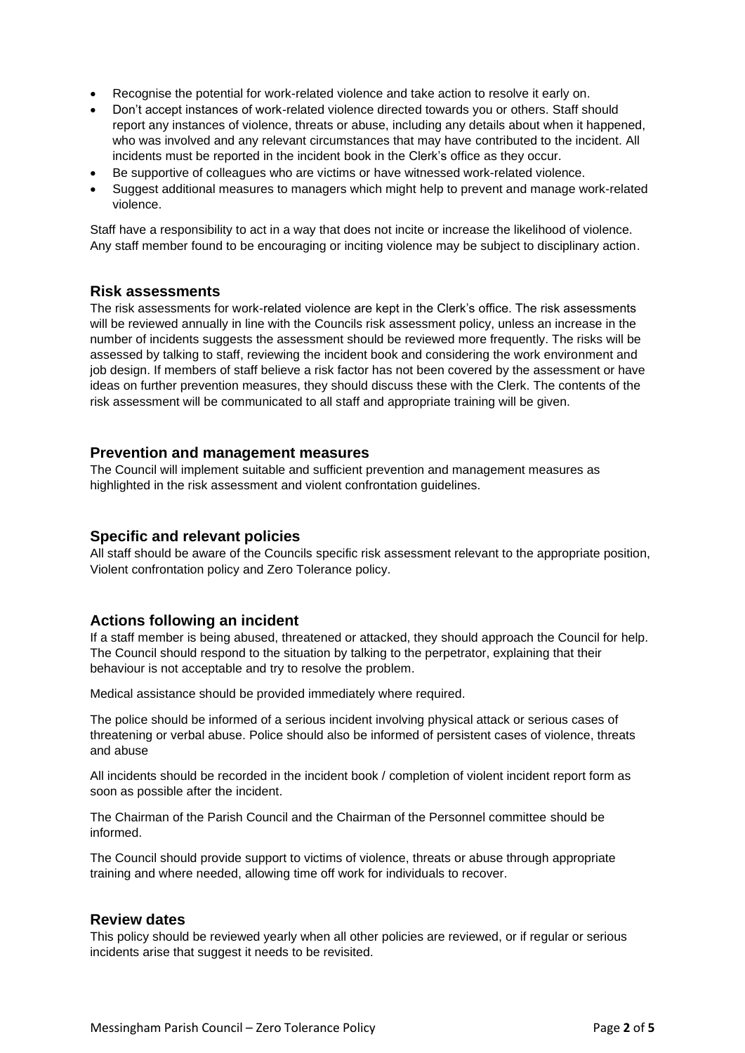- Recognise the potential for work-related violence and take action to resolve it early on.
- Don't accept instances of work-related violence directed towards you or others. Staff should report any instances of violence, threats or abuse, including any details about when it happened, who was involved and any relevant circumstances that may have contributed to the incident. All incidents must be reported in the incident book in the Clerk's office as they occur.
- Be supportive of colleagues who are victims or have witnessed work-related violence.
- Suggest additional measures to managers which might help to prevent and manage work-related violence.

Staff have a responsibility to act in a way that does not incite or increase the likelihood of violence. Any staff member found to be encouraging or inciting violence may be subject to disciplinary action.

#### **Risk assessments**

The risk assessments for work-related violence are kept in the Clerk's office. The risk assessments will be reviewed annually in line with the Councils risk assessment policy, unless an increase in the number of incidents suggests the assessment should be reviewed more frequently. The risks will be assessed by talking to staff, reviewing the incident book and considering the work environment and job design. If members of staff believe a risk factor has not been covered by the assessment or have ideas on further prevention measures, they should discuss these with the Clerk. The contents of the risk assessment will be communicated to all staff and appropriate training will be given.

#### **Prevention and management measures**

The Council will implement suitable and sufficient prevention and management measures as highlighted in the risk assessment and violent confrontation guidelines.

### **Specific and relevant policies**

All staff should be aware of the Councils specific risk assessment relevant to the appropriate position, Violent confrontation policy and Zero Tolerance policy.

### **Actions following an incident**

If a staff member is being abused, threatened or attacked, they should approach the Council for help. The Council should respond to the situation by talking to the perpetrator, explaining that their behaviour is not acceptable and try to resolve the problem.

Medical assistance should be provided immediately where required.

The police should be informed of a serious incident involving physical attack or serious cases of threatening or verbal abuse. Police should also be informed of persistent cases of violence, threats and abuse

All incidents should be recorded in the incident book / completion of violent incident report form as soon as possible after the incident.

The Chairman of the Parish Council and the Chairman of the Personnel committee should be informed.

The Council should provide support to victims of violence, threats or abuse through appropriate training and where needed, allowing time off work for individuals to recover.

#### **Review dates**

This policy should be reviewed yearly when all other policies are reviewed, or if regular or serious incidents arise that suggest it needs to be revisited.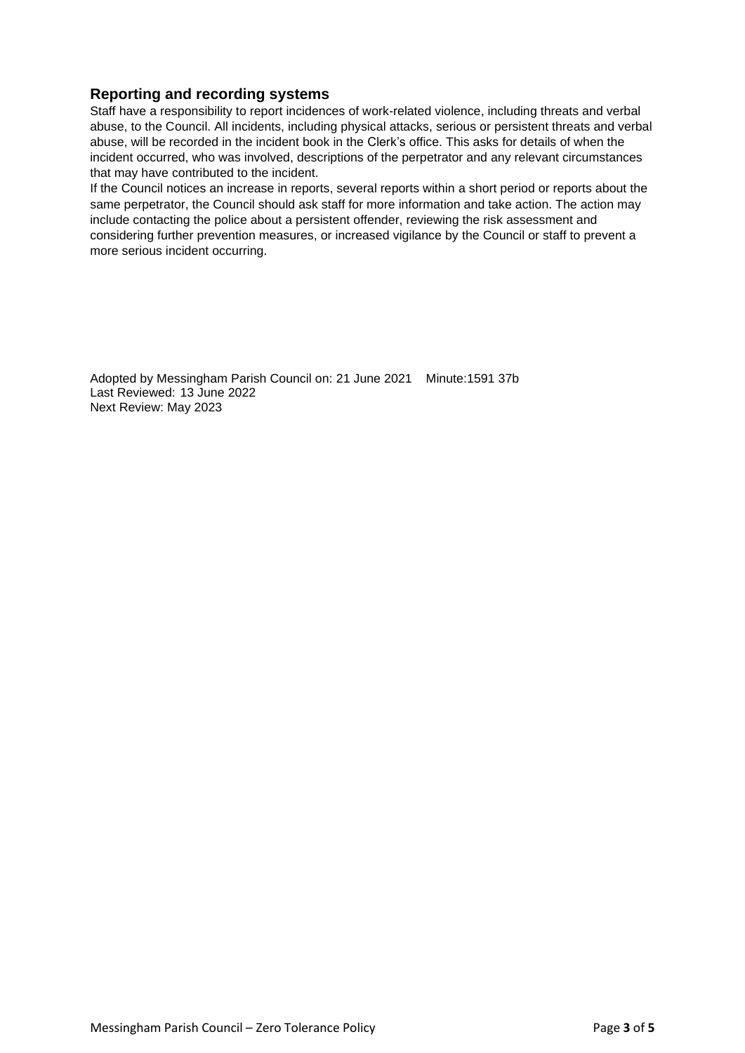# **Reporting and recording systems**

Staff have a responsibility to report incidences of work-related violence, including threats and verbal abuse, to the Council. All incidents, including physical attacks, serious or persistent threats and verbal abuse, will be recorded in the incident book in the Clerk's office. This asks for details of when the incident occurred, who was involved, descriptions of the perpetrator and any relevant circumstances that may have contributed to the incident.

If the Council notices an increase in reports, several reports within a short period or reports about the same perpetrator, the Council should ask staff for more information and take action. The action may include contacting the police about a persistent offender, reviewing the risk assessment and considering further prevention measures, or increased vigilance by the Council or staff to prevent a more serious incident occurring.

Adopted by Messingham Parish Council on: 21 June 2021 Minute:1591 37b Last Reviewed: 13 June 2022 Next Review: May 2023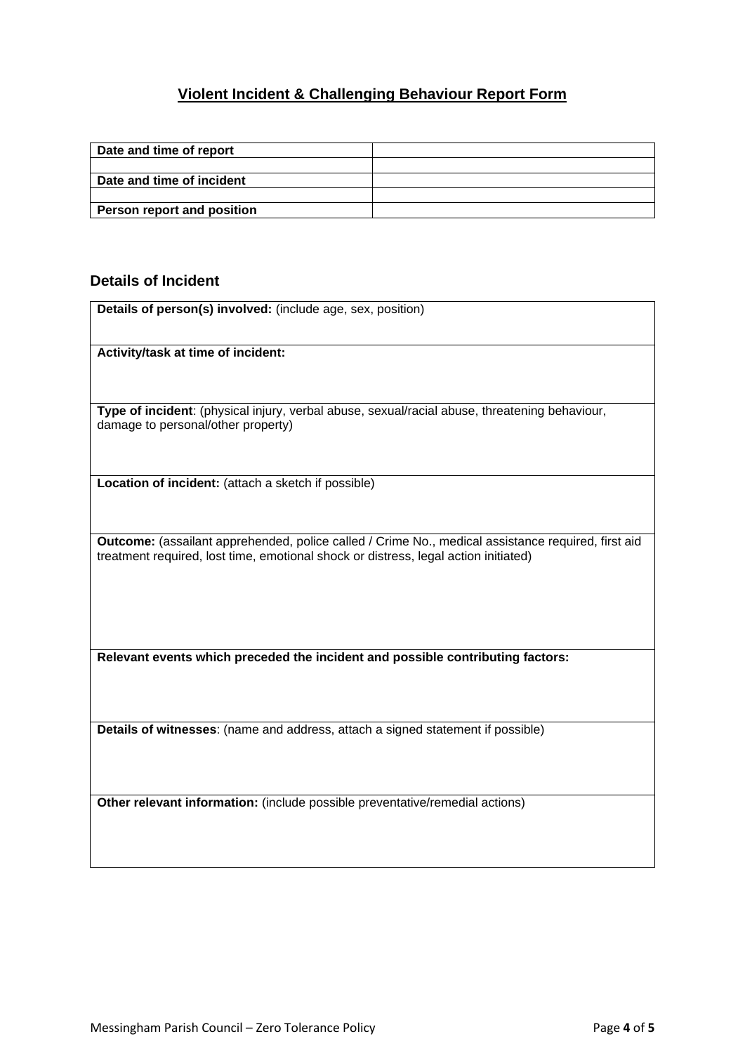# **Violent Incident & Challenging Behaviour Report Form**

| Date and time of report    |  |
|----------------------------|--|
|                            |  |
| Date and time of incident  |  |
|                            |  |
| Person report and position |  |

# **Details of Incident**

| Details of person(s) involved: (include age, sex, position)                                                                                                                               |
|-------------------------------------------------------------------------------------------------------------------------------------------------------------------------------------------|
| Activity/task at time of incident:                                                                                                                                                        |
| Type of incident: (physical injury, verbal abuse, sexual/racial abuse, threatening behaviour,<br>damage to personal/other property)                                                       |
| Location of incident: (attach a sketch if possible)                                                                                                                                       |
| Outcome: (assailant apprehended, police called / Crime No., medical assistance required, first aid<br>treatment required, lost time, emotional shock or distress, legal action initiated) |
| Relevant events which preceded the incident and possible contributing factors:                                                                                                            |
| Details of witnesses: (name and address, attach a signed statement if possible)                                                                                                           |
| Other relevant information: (include possible preventative/remedial actions)                                                                                                              |